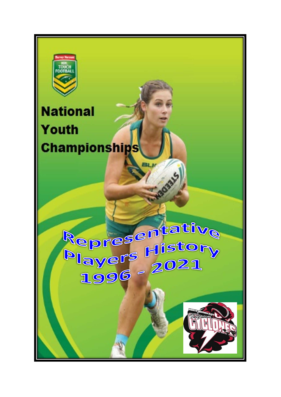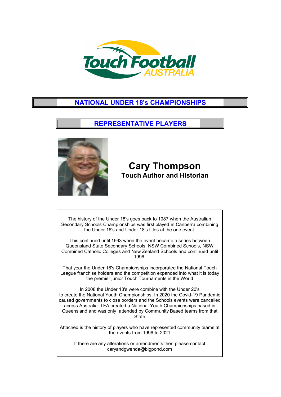

## **NATIONAL UNDER 18's CHAMPIONSHIPS**

### **REPRESENTATIVE PLAYERS**



## **Cary Thompson Touch Author and Historian**

The history of the Under 18's goes back to 1987 when the Australian Secondary Schools Championships was first played in Canberra combining the Under 16's and Under 18's titles at the one event.

This continued until 1993 when the event became a series between Queensland State Secondary Schools, NSW Combined Schools, NSW Combined Catholic Colleges and New Zealand Schools and continued until 1996.

That year the Under 18's Championships incorporated the National Touch League franchise holders and the competition expanded into what it is today the premier junior Touch Tournaments in the World

In 2008 the Under 18's were combine with the Under 20's to create the National Youth Championships. In 2020 the Covid-19 Pandemic caused governments to close borders and the Schools events were cancelled across Australia. TFA created a National Youth Championships based in Queensland and was only attended by Community Based teams from that **State** 

Attached is the history of players who have represented community teams at the events from 1996 to 2021

If there are any alterations or amendments then please contact caryandgwenda@bigpond.com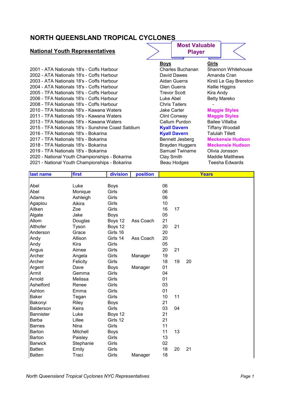## **NORTH QUEENSLAND TROPICAL CYCLONES**

### **National Youth Representatives**

| 2001 - ATA Nationals 18's - Coffs Harbour          | Charles Buchanan       | Shannon Whiteho        |
|----------------------------------------------------|------------------------|------------------------|
| 2002 - ATA Nationals 18's - Coffs Harbour          | David Dawes            | Amanda Cran            |
| 2003 - ATA Nationals 18's - Coffs Harbour          | Aidan Guerra           | Kirsti Le Gay Brer     |
| 2004 - ATA Nationals 18's - Coffs Harbour          | Glen Guerra            | Kellie Higgins         |
| 2005 - TFA Nationals 18's - Coffs Harbour          | <b>Trevor Scott</b>    | Kira Andy              |
| 2006 - TFA Nationals 18's - Coffs Harbour          | Luke Abel              | <b>Betty Mareko</b>    |
| 2008 - TFA Nationals 18's - Coffs Harbour          | <b>Chris Taiters</b>   |                        |
| 2010 - TFA Nationals 18's - Kawana Waters          | <b>Jake Carter</b>     | <b>Maggie Styles</b>   |
| 2011 - TFA Nationals 18's - Kawana Waters          | Clint Conway           | <b>Maggie Styles</b>   |
| 2013 - TFA Nationals 18's - Kawana Waters          | Callum Purdon          | Bailee Villalba        |
| 2015 - TFA Nationals 18's - Sunshine Coast Satdium | <b>Kyall Davern</b>    | <b>Tiffany Woodall</b> |
| 2016 - TFA Nationals 18's - Bokarina               | <b>Kyall Davern</b>    | <b>Talulah Tillett</b> |
| 2017 - TFA Nationals 18's - Bokarina               | Bennett Jesberg        | <b>Meckensie Huds</b>  |
| 2018 - TFA Nationals 18's - Bokarina               | <b>Brayden Huggers</b> | <b>Meckensie Huds</b>  |
| 2019 - TFA Nationals 18's - Bokarina               | Samuel Twiname         | Olivia Jonsson         |
| 2020 - National Youth Championships - Bokarina     | Clay Smith             | <b>Maddie Matthews</b> |
| 2021 - National Youth Championships - Bokarina     | Beau Hodges            | Teesha Edwards         |

# **Most Valuable**

**Player**

#### **Boys Girls**

Charles Buchanan Shannon Whitehouse David Dawes - Amanda Cran Aidan Guerra <sup>Kirsti</sup> Le Gay Brereton<br>Clen Guerra **Kellie Higgins** Kellie Higgins Trevor Scott Kira Andy Luke Abel **Betty Mareko** 

## **2010 - Jake Carter 18th Carter Maggie Styles<br>2010 - Clint Conway - Maggie Styles Maggie Styles<br>Bailee Villalba**

2015 - <mark>Kyall Davern</mark> 1975 - Tiffany Woodall<br>2015 - <mark>Kyall Davern</mark> Talulah Tillett **2017 - Bennett Jesberg - Meckensie Hudson** Brayden Huggers Meckensie Hudson Samuel Twiname Olivia Jonsson Clay Smith Maddie Matthews

| last name        | first     | division    | position  |    |    | <b>Years</b> |
|------------------|-----------|-------------|-----------|----|----|--------------|
|                  |           |             |           |    |    |              |
| Abel             | Luke      | <b>Boys</b> |           | 06 |    |              |
| Abel             | Monique   | Girls       |           | 06 |    |              |
| Adams            | Ashleigh  | Girls       |           | 06 |    |              |
| Agapiou          | Aikira    | Girls       |           | 10 |    |              |
| Aitken           | Zoe       | Girls       |           | 16 | 17 |              |
| Algate           | Jake      | <b>Boys</b> |           | 05 |    |              |
| Allom            | Douglas   | Boys 12     | Ass Coach | 21 |    |              |
| Althofer         | Tyson     | Boys 12     |           | 20 | 21 |              |
| Anderson         | Grace     | Girls 16    |           | 20 |    |              |
| Andy             | Allison   | Girls 14    | Ass Coach | 20 |    |              |
| Andy             | Kira      | Girls       |           | 05 |    |              |
| Angus            | Aimee     | Girls       |           | 20 | 21 |              |
| Archer           | Angela    | Girls       | Manager   | 19 |    |              |
| Archer           | Felicity  | Girls       |           | 18 | 19 | 20           |
| Argent           | Dave      | <b>Boys</b> | Manager   | 01 |    |              |
| Armit            | Gemma     | Girls       |           | 04 |    |              |
| Arnold           | Melissa   | Girls       |           | 01 |    |              |
| Ashelford        | Renee     | Girls       |           | 03 |    |              |
| Ashton           | Emma      | Girls       |           | 01 |    |              |
| <b>Baker</b>     | Tegan     | Girls       |           | 10 | 11 |              |
| Bakonyi          | Riley     | <b>Boys</b> |           | 21 |    |              |
| <b>Balderson</b> | Keira     | Girls       |           | 03 | 04 |              |
| <b>Bannister</b> | Luke      | Boys 12     |           | 21 |    |              |
| Barba            | Lillee    | Girls 12    |           | 21 |    |              |
| <b>Barnes</b>    | Nina      | Girls       |           | 11 |    |              |
| <b>Barton</b>    | Mitchell  | <b>Boys</b> |           | 11 | 13 |              |
| Barton           | Paisley   | Girls       |           | 13 |    |              |
| <b>Barwick</b>   | Stephanie | Girls       |           | 02 |    |              |
| <b>Batten</b>    | Emily     | Girls       |           | 18 | 20 | 21           |
| <b>Batten</b>    | Traci     | Girls       | Manager   | 18 |    |              |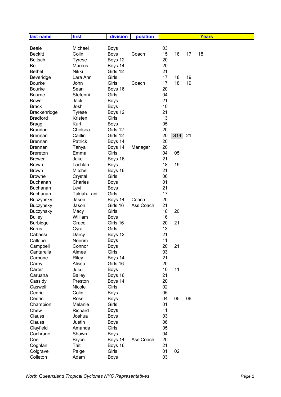| last name       | first         | division    | position  |    |     |    | <b>Years</b> |
|-----------------|---------------|-------------|-----------|----|-----|----|--------------|
|                 |               |             |           |    |     |    |              |
| <b>Beale</b>    | Michael       | <b>Boys</b> |           | 03 |     |    |              |
| <b>Beckitt</b>  | Colin         | <b>Boys</b> | Coach     | 15 | 16  | 17 | 18           |
| <b>Beitsch</b>  | Tyrese        | Boys 12     |           | 20 |     |    |              |
| Bell            | Marcus        | Boys 14     |           | 20 |     |    |              |
| <b>Bethel</b>   | Nikki         | Girls 12    |           | 21 |     |    |              |
| Beveridge       | Lara Ann      | Girls       |           | 17 | 18  | 19 |              |
| <b>Bourke</b>   | John          | Girls       | Coach     | 17 | 18  | 19 |              |
| <b>Bourke</b>   | Sean          | Boys 16     |           | 20 |     |    |              |
| <b>Bourne</b>   | Stefenni      | Girls       |           | 04 |     |    |              |
| <b>Bower</b>    | Jack          | <b>Boys</b> |           | 21 |     |    |              |
| <b>Brack</b>    | Josh          | <b>Boys</b> |           | 10 |     |    |              |
| Brackenridge    | <b>Tyrese</b> | Boys 12     |           | 21 |     |    |              |
| <b>Bradford</b> | Kristen       | Girls       |           | 13 |     |    |              |
| <b>Bragg</b>    | Kurt          | <b>Boys</b> |           | 05 |     |    |              |
| <b>Brandon</b>  | Chelsea       | Girls 12    |           | 20 |     |    |              |
| <b>Brennan</b>  | Caitlin       | Girls 12    |           | 20 | G14 | 21 |              |
| <b>Brennan</b>  | Patrick       | Boys 14     |           | 20 |     |    |              |
| <b>Brennan</b>  | Tanya         | Boys 14     | Manager   | 20 |     |    |              |
| <b>Brereton</b> | Emma          | Girls       |           | 04 | 05  |    |              |
| <b>Brewer</b>   | Jake          | Boys 16     |           | 21 |     |    |              |
| <b>Brown</b>    | Lachlan       | <b>Boys</b> |           | 18 | 19  |    |              |
| <b>Brown</b>    | Mitchell      | Boys 16     |           | 21 |     |    |              |
| <b>Browne</b>   | Crystal       | Girls       |           | 06 |     |    |              |
| Buchanan        | Charles       | <b>Boys</b> |           | 01 |     |    |              |
| Buchanan        | Levi          | <b>Boys</b> |           | 21 |     |    |              |
| Buchanan        | Takiah-Lani   | Girls       |           | 17 |     |    |              |
| Buczynsky       | Jason         | Boys 14     | Coach     | 20 |     |    |              |
| Buczynsky       | Jason         | Girls 16    | Ass Coach | 21 |     |    |              |
| Buczynsky       | Macy          | Girls       |           | 18 | 20  |    |              |
| <b>Bulley</b>   | William       | <b>Boys</b> |           | 16 |     |    |              |
| <b>Burbidge</b> | Grace         | Girls 16    |           | 20 | 21  |    |              |
| <b>Burns</b>    | Cyra          | Girls       |           | 13 |     |    |              |
| Cabassi         | Darcy         | Boys 12     |           | 21 |     |    |              |
| Callope         | <b>Neerim</b> | Boys        |           | 11 |     |    |              |
| Campbell        | Connor        | <b>Boys</b> |           | 20 | 21  |    |              |
| Cantarella      | Aimee         | Girls       |           | 03 |     |    |              |
| Carbone         | Riley         | Boys 14     |           | 21 |     |    |              |
| Carey           | Alissa        | Girls 16    |           | 20 |     |    |              |
| Carter          | Jake          | <b>Boys</b> |           | 10 | 11  |    |              |
| Caruana         | <b>Bailey</b> | Boys 16     |           | 21 |     |    |              |
| Cassidy         | Preston       | Boys 14     |           | 20 |     |    |              |
| Caswell         | Nicole        | Girls       |           | 02 |     |    |              |
| Cedric          | Colin         | <b>Boys</b> |           | 05 |     |    |              |
| Cedric          | Ross          | <b>Boys</b> |           | 04 | 05  | 06 |              |
| Champion        | Melanie       | Girls       |           | 01 |     |    |              |
| Chew            | Richard       | <b>Boys</b> |           | 11 |     |    |              |
| Clauss          | Joshua        | <b>Boys</b> |           | 03 |     |    |              |
| Clauss          | Justin        | <b>Boys</b> |           | 06 |     |    |              |
| Clayfield       | Amanda        | Girls       |           | 05 |     |    |              |
| Cochrane        | Shawn         | <b>Boys</b> |           | 04 |     |    |              |
| Coe             | <b>Bryce</b>  | Boys 14     | Ass Coach | 20 |     |    |              |
| Coghlan         | Tait          | Boys 16     |           | 21 |     |    |              |
| Colgrave        | Paige         | Girls       |           | 01 | 02  |    |              |
| Colleton        | Adam          | <b>Boys</b> |           | 03 |     |    |              |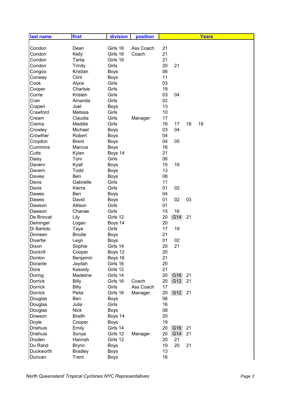| last name       | first          | division    | position  |           |    | <b>Years</b> |
|-----------------|----------------|-------------|-----------|-----------|----|--------------|
|                 |                |             |           |           |    |              |
| Condon          | Dean           | Girls 16    | Ass Coach | 21        |    |              |
| Condon          | Kelly          | Girls 16    | Coach     | 21        |    |              |
| Condon          | Tarlia         | Girls 16    |           | 21        |    |              |
| Condon          | <b>Trinity</b> | Girls       |           | 20<br>21  |    |              |
| Congoo          | Kristian       | <b>Boys</b> |           | 06        |    |              |
| Conway          | Clint          | <b>Boys</b> |           | 11        |    |              |
| Cook            | Alyce          | Girls       |           | 03        |    |              |
| Cooper          | Charlsie       | Girls       |           | 19        |    |              |
| Corrie          | Kristen        | Girls       |           | 03<br>04  |    |              |
| Cran            | Amanda         | Girls       |           | 02        |    |              |
| Craperi         | Joel           | <b>Boys</b> |           | 13        |    |              |
| Crawford        | Melissa        | Girls       |           | 10        |    |              |
| Cream           | Claudia        | Girls       | Manager   | 17        |    |              |
| Crema           | Maddie         | Girls       |           | 16<br>17  | 18 | 19           |
| Crowley         | Michael        | <b>Boys</b> |           | 04<br>03  |    |              |
| Crowther        | Robert         | <b>Boys</b> |           | 04        |    |              |
| Croydon         | <b>Brent</b>   | <b>Boys</b> |           | 04<br>05  |    |              |
| Cummins         | Marcus         | <b>Boys</b> |           | 16        |    |              |
| Cutts           | Kylan          | Boys 14     |           | 21        |    |              |
| Daisy           | Toni           | Girls       |           | 06        |    |              |
| Davern          | Kyall          | <b>Boys</b> |           | 15<br>16  |    |              |
| Davern          | Todd           | <b>Boys</b> |           | 13        |    |              |
| Davies          | Ben            | <b>Boys</b> |           | 08        |    |              |
| Davis           | Gabrielle      | Girls       |           | 11        |    |              |
| Davis           | Kierra         | Girls       |           | 01<br>02  |    |              |
| Dawes           | Ben            | <b>Boys</b> |           | 04        |    |              |
| Dawes           | David          | <b>Boys</b> |           | 01<br>02  | 03 |              |
| Dawson          | Allison        | Girls       |           | 01        |    |              |
| Dawson          | Chanae         | Girls       |           | 15<br>16  |    |              |
| De Brincat      | Lily           | Girls 12    |           | G14<br>20 | 21 |              |
| Deininger       | Logan          | Boys 14     |           | 20        |    |              |
| Di Bartolo      | Taya           | Girls       |           | 17<br>19  |    |              |
| Dinneen         | <b>Brodie</b>  | <b>Boys</b> |           | 21        |    |              |
| <b>Divertie</b> | Leigh          | <b>Boys</b> |           | 01<br>02  |    |              |
| Dixon           | Sophie         | Girls 14    |           | 20<br>21  |    |              |
| Dockrill        | Cooper         | Boys 12     |           | 20        |    |              |
| Donlon          | Benjamin       | Boys 16     |           | 21        |    |              |
| Dorante         | Jaydah         | Girls 16    |           | 20        |    |              |
| Dore            | Kassidy        | Girls 12    |           | 21        |    |              |
| Doring          | Madeline       | Girls 14    |           | 20<br>G16 | 21 |              |
| Dorrick         | <b>Billy</b>   | Girls 16    | Coach     | G12<br>20 | 21 |              |
| Dorrick         | <b>Billy</b>   | Girls       | Ass Coach | 17        |    |              |
| Dorrick         | Peita          | Girls 16    | Manager   | 20<br>G12 | 21 |              |
| Douglas         | Ben            | <b>Boys</b> |           | 06        |    |              |
| Douglas         | Julia          | Girls       |           | 16        |    |              |
| Douglas         | <b>Nick</b>    | <b>Boys</b> |           | 08        |    |              |
| Dowson          | <b>Braith</b>  | Boys 14     |           | 20        |    |              |
| Doyle           | Cooper         | <b>Boys</b> |           | 19        |    |              |
| <b>Driehuis</b> | Emily          | Girls 14    |           | 20<br>G16 | 21 |              |
| <b>Driehuis</b> | Sonya          | Girls 12    | Manager   | 20<br>G14 | 21 |              |
| Dryden          | Hannah         | Girls 12    |           | 21<br>20  |    |              |
| Du Rand         | <b>Brynn</b>   | <b>Boys</b> |           | 19<br>20  | 21 |              |
| Duckworth       | <b>Bradley</b> | <b>Boys</b> |           | 13        |    |              |
| Duncan          | Trent          | <b>Boys</b> |           | 16        |    |              |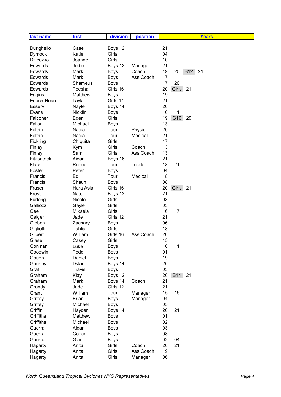| last name      | first         | division    | position  | <b>Years</b>                 |
|----------------|---------------|-------------|-----------|------------------------------|
|                |               |             |           |                              |
| Durighello     | Case          | Boys 12     |           | 21                           |
| Dymock         | Katie         | Girls       |           | 04                           |
| Dzieczko       | Joanne        | Girls       |           | 10                           |
| <b>Edwards</b> | Jodie         | Boys 12     | Manager   | 21                           |
| <b>Edwards</b> | Mark          | <b>Boys</b> | Coach     | 19<br><b>B12</b><br>21<br>20 |
| <b>Edwards</b> | Mark          | <b>Boys</b> | Ass Coach | 17                           |
| Edwards        | Shameus       | <b>Boys</b> |           | 17<br>20                     |
| Edwards        | Teesha        | Girls 16    |           | 20<br>Girls<br>21            |
| Eggins         | Matthew       | <b>Boys</b> |           | 19                           |
| Enoch-Heard    | Layla         | Girls 14    |           | 21                           |
| Essery         | Nayte         | Boys 14     |           | 20                           |
| Evans          | Nicklin       | <b>Boys</b> |           | 10<br>11                     |
| Falconer       | Eden          | Girls       |           | G16<br>19<br>20              |
| Fallon         | Michael       | <b>Boys</b> |           | 13                           |
| Feltrin        | Nadia         | Tour        | Physio    | 20                           |
| Feltrin        | Nadia         | Tour        | Medical   | 21                           |
| Fickling       | Chiquita      | Girls       |           | 17                           |
| Finlay         | Kym           | Girls       | Coach     | 13                           |
| Finlay         | Sam           | Girls       | Ass Coach | 13                           |
| Fitzpatrick    | Aidan         | Boys 16     |           | 21                           |
| Flach          | Renee         | Tour        | Leader    | 18<br>21                     |
| Foster         | Peter         | <b>Boys</b> |           | 04                           |
| Francis        | Ed            | Tour        | Medical   | 18                           |
| Francis        | Shaun         | <b>Boys</b> |           | 08                           |
| Fraser         | Hara Asia     | Girls 16    |           | 20<br>Girls<br>21            |
| Frost          | Nate          | Boys 12     |           | 21                           |
| Furlong        | Nicole        | Girls       |           | 03                           |
| Galliozzi      | Gayle         | Girls       |           | 03                           |
| Gee            | Mikaela       | Girls       |           | 16<br>17                     |
| Geiger         | Jade          | Girls 12    |           | 21                           |
| Gibbon         | Zachary       | <b>Boys</b> |           | 06                           |
| Gigliotti      | Tahlia        | Girls       |           | 18                           |
| Gilbert        | William       | Girls 16    | Ass Coach | 20                           |
| Glase          | Casey         | Girls       |           | 15                           |
| Goninan        | Luke          | <b>Boys</b> |           | 10<br>11                     |
| Goodwin        | Todd          | <b>Boys</b> |           | 01                           |
| Gough          | Daniel        | <b>Boys</b> |           | 19                           |
| Gourley        | Dylan         | Boys 14     |           | 20                           |
| Graf           | <b>Travis</b> | <b>Boys</b> |           | 03                           |
| Graham         | Klay          | Boys 12     |           | 20<br><b>B14</b><br>21       |
| Graham         | Mark          | Boys 14     | Coach     | 21                           |
| Grandy         | Jade          | Girls 12    |           | 21                           |
| Grant          | William       | Tour        | Manager   | 15<br>16                     |
| Griffey        | <b>Brian</b>  | <b>Boys</b> | Manager   | 04                           |
| Griffey        | Michael       | <b>Boys</b> |           | 05                           |
| Griffin        | Hayden        | Boys 14     |           | 20<br>21                     |
| Griffiths      | Matthew       | <b>Boys</b> |           | 01                           |
| Griffiths      | Michael       | <b>Boys</b> |           | 02                           |
| Guerra         | Aidan         | <b>Boys</b> |           | 03                           |
| Guerra         | Cohan         | <b>Boys</b> |           | 08                           |
| Guerra         | Gian          | <b>Boys</b> |           | 02<br>04                     |
| Hagarty        | Anita         | Girls       | Coach     | 20<br>21                     |
| Hagarty        | Anita         | Girls       | Ass Coach | 19                           |
| Hagarty        | Anita         | Girls       | Manager   | 06                           |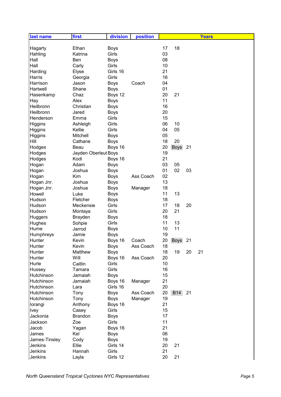| 17<br>18<br>Ethan<br><b>Boys</b><br>Hagarty<br>03<br>Girls<br>Hahling<br>Katrina<br>08<br>Hall<br>Ben<br><b>Boys</b><br>Hall<br>Girls<br>10<br>Carly<br>21<br>Girls 16<br>Harding<br>Elyse<br>16<br>Girls<br>Harris<br>Georgia<br>04<br>Harrison<br>Jason<br><b>Boys</b><br>Coach<br>01<br>Hartwell<br>Shane<br><b>Boys</b><br>20<br>21<br>Hasenkamp<br>Chaz<br>Boys 12<br>11<br><b>Boys</b><br>Alex<br>Hay<br>16<br>Heilbronn<br>Christian<br><b>Boys</b><br>Heilbronn<br>20<br>Jared<br><b>Boys</b><br>Henderson<br>Girls<br>15<br>Emma<br>Girls<br>06<br>10<br>Higgins<br>Ashleigh<br>04<br>Kellie<br>Girls<br>05<br>Higgins<br>Mitchell<br>05<br>Higgins<br><b>Boys</b><br>Cathane<br>18<br>20<br>Hill<br><b>Boys</b><br>20<br><b>Boys</b><br>21<br>Hodges<br>Beau<br>Boys 16<br>19<br>Jayden Oberleut Boys<br>Hodges<br>Kodi<br>21<br>Hodges<br>Boys 16<br>Adam<br>03<br>Hogan<br>05<br><b>Boys</b><br>01<br>02<br>Joshua<br>03<br>Hogan<br><b>Boys</b><br>02<br>Kim<br>Ass Coach<br>Hogan<br><b>Boys</b><br>13<br>Hogan Jnr.<br>Joshua<br><b>Boys</b><br>18<br>Hogan Jnr.<br>Joshua<br><b>Boys</b><br>Manager<br>11<br>13<br>Howell<br>Luke<br><b>Boys</b><br>18<br>Hudson<br>Fletcher<br><b>Boys</b><br>Hudson<br>Girls<br>17<br>18<br>20<br>Meckensie<br>Girls<br>20<br>21<br>Hudson<br>Montaya<br>18<br>Brayden<br><b>Huggers</b><br><b>Boys</b><br>11<br>13<br>Hughes<br>Sohpie<br>Girls<br>11<br>10<br>Hume<br>Jarrod<br><b>Boys</b><br>Humphreys<br>Jamie<br>19<br><b>Boys</b><br>20<br><b>Boys</b><br>21<br>Hunter<br>Kevin<br>Boys 16<br>Coach<br>Hunter<br>Kevin<br><b>Boys</b><br>Ass Coach<br>18<br>18<br>Hunter<br>Matthew<br>19<br>20<br>21<br><b>Boys</b><br>Will<br>Boys 16<br>Ass Coach<br>20<br>Hunter<br>10<br>Hurle<br>Caitlin<br>Girls<br>Girls<br>16<br>Hussey<br>Tamara<br>15<br>Hutchinson<br>Jamaiah<br><b>Boys</b><br>21<br>Hutchinson<br>Boys 16<br>Jamaiah<br>Manager<br>Girls 16<br>20<br>Hutchinson<br>Lara | last name | first | division | position |  | <b>Years</b> |
|------------------------------------------------------------------------------------------------------------------------------------------------------------------------------------------------------------------------------------------------------------------------------------------------------------------------------------------------------------------------------------------------------------------------------------------------------------------------------------------------------------------------------------------------------------------------------------------------------------------------------------------------------------------------------------------------------------------------------------------------------------------------------------------------------------------------------------------------------------------------------------------------------------------------------------------------------------------------------------------------------------------------------------------------------------------------------------------------------------------------------------------------------------------------------------------------------------------------------------------------------------------------------------------------------------------------------------------------------------------------------------------------------------------------------------------------------------------------------------------------------------------------------------------------------------------------------------------------------------------------------------------------------------------------------------------------------------------------------------------------------------------------------------------------------------------------------------------------------------------------------------------------------------------------------------------------|-----------|-------|----------|----------|--|--------------|
|                                                                                                                                                                                                                                                                                                                                                                                                                                                                                                                                                                                                                                                                                                                                                                                                                                                                                                                                                                                                                                                                                                                                                                                                                                                                                                                                                                                                                                                                                                                                                                                                                                                                                                                                                                                                                                                                                                                                                |           |       |          |          |  |              |
|                                                                                                                                                                                                                                                                                                                                                                                                                                                                                                                                                                                                                                                                                                                                                                                                                                                                                                                                                                                                                                                                                                                                                                                                                                                                                                                                                                                                                                                                                                                                                                                                                                                                                                                                                                                                                                                                                                                                                |           |       |          |          |  |              |
|                                                                                                                                                                                                                                                                                                                                                                                                                                                                                                                                                                                                                                                                                                                                                                                                                                                                                                                                                                                                                                                                                                                                                                                                                                                                                                                                                                                                                                                                                                                                                                                                                                                                                                                                                                                                                                                                                                                                                |           |       |          |          |  |              |
|                                                                                                                                                                                                                                                                                                                                                                                                                                                                                                                                                                                                                                                                                                                                                                                                                                                                                                                                                                                                                                                                                                                                                                                                                                                                                                                                                                                                                                                                                                                                                                                                                                                                                                                                                                                                                                                                                                                                                |           |       |          |          |  |              |
|                                                                                                                                                                                                                                                                                                                                                                                                                                                                                                                                                                                                                                                                                                                                                                                                                                                                                                                                                                                                                                                                                                                                                                                                                                                                                                                                                                                                                                                                                                                                                                                                                                                                                                                                                                                                                                                                                                                                                |           |       |          |          |  |              |
|                                                                                                                                                                                                                                                                                                                                                                                                                                                                                                                                                                                                                                                                                                                                                                                                                                                                                                                                                                                                                                                                                                                                                                                                                                                                                                                                                                                                                                                                                                                                                                                                                                                                                                                                                                                                                                                                                                                                                |           |       |          |          |  |              |
|                                                                                                                                                                                                                                                                                                                                                                                                                                                                                                                                                                                                                                                                                                                                                                                                                                                                                                                                                                                                                                                                                                                                                                                                                                                                                                                                                                                                                                                                                                                                                                                                                                                                                                                                                                                                                                                                                                                                                |           |       |          |          |  |              |
|                                                                                                                                                                                                                                                                                                                                                                                                                                                                                                                                                                                                                                                                                                                                                                                                                                                                                                                                                                                                                                                                                                                                                                                                                                                                                                                                                                                                                                                                                                                                                                                                                                                                                                                                                                                                                                                                                                                                                |           |       |          |          |  |              |
|                                                                                                                                                                                                                                                                                                                                                                                                                                                                                                                                                                                                                                                                                                                                                                                                                                                                                                                                                                                                                                                                                                                                                                                                                                                                                                                                                                                                                                                                                                                                                                                                                                                                                                                                                                                                                                                                                                                                                |           |       |          |          |  |              |
|                                                                                                                                                                                                                                                                                                                                                                                                                                                                                                                                                                                                                                                                                                                                                                                                                                                                                                                                                                                                                                                                                                                                                                                                                                                                                                                                                                                                                                                                                                                                                                                                                                                                                                                                                                                                                                                                                                                                                |           |       |          |          |  |              |
|                                                                                                                                                                                                                                                                                                                                                                                                                                                                                                                                                                                                                                                                                                                                                                                                                                                                                                                                                                                                                                                                                                                                                                                                                                                                                                                                                                                                                                                                                                                                                                                                                                                                                                                                                                                                                                                                                                                                                |           |       |          |          |  |              |
|                                                                                                                                                                                                                                                                                                                                                                                                                                                                                                                                                                                                                                                                                                                                                                                                                                                                                                                                                                                                                                                                                                                                                                                                                                                                                                                                                                                                                                                                                                                                                                                                                                                                                                                                                                                                                                                                                                                                                |           |       |          |          |  |              |
|                                                                                                                                                                                                                                                                                                                                                                                                                                                                                                                                                                                                                                                                                                                                                                                                                                                                                                                                                                                                                                                                                                                                                                                                                                                                                                                                                                                                                                                                                                                                                                                                                                                                                                                                                                                                                                                                                                                                                |           |       |          |          |  |              |
|                                                                                                                                                                                                                                                                                                                                                                                                                                                                                                                                                                                                                                                                                                                                                                                                                                                                                                                                                                                                                                                                                                                                                                                                                                                                                                                                                                                                                                                                                                                                                                                                                                                                                                                                                                                                                                                                                                                                                |           |       |          |          |  |              |
|                                                                                                                                                                                                                                                                                                                                                                                                                                                                                                                                                                                                                                                                                                                                                                                                                                                                                                                                                                                                                                                                                                                                                                                                                                                                                                                                                                                                                                                                                                                                                                                                                                                                                                                                                                                                                                                                                                                                                |           |       |          |          |  |              |
|                                                                                                                                                                                                                                                                                                                                                                                                                                                                                                                                                                                                                                                                                                                                                                                                                                                                                                                                                                                                                                                                                                                                                                                                                                                                                                                                                                                                                                                                                                                                                                                                                                                                                                                                                                                                                                                                                                                                                |           |       |          |          |  |              |
|                                                                                                                                                                                                                                                                                                                                                                                                                                                                                                                                                                                                                                                                                                                                                                                                                                                                                                                                                                                                                                                                                                                                                                                                                                                                                                                                                                                                                                                                                                                                                                                                                                                                                                                                                                                                                                                                                                                                                |           |       |          |          |  |              |
|                                                                                                                                                                                                                                                                                                                                                                                                                                                                                                                                                                                                                                                                                                                                                                                                                                                                                                                                                                                                                                                                                                                                                                                                                                                                                                                                                                                                                                                                                                                                                                                                                                                                                                                                                                                                                                                                                                                                                |           |       |          |          |  |              |
|                                                                                                                                                                                                                                                                                                                                                                                                                                                                                                                                                                                                                                                                                                                                                                                                                                                                                                                                                                                                                                                                                                                                                                                                                                                                                                                                                                                                                                                                                                                                                                                                                                                                                                                                                                                                                                                                                                                                                |           |       |          |          |  |              |
|                                                                                                                                                                                                                                                                                                                                                                                                                                                                                                                                                                                                                                                                                                                                                                                                                                                                                                                                                                                                                                                                                                                                                                                                                                                                                                                                                                                                                                                                                                                                                                                                                                                                                                                                                                                                                                                                                                                                                |           |       |          |          |  |              |
|                                                                                                                                                                                                                                                                                                                                                                                                                                                                                                                                                                                                                                                                                                                                                                                                                                                                                                                                                                                                                                                                                                                                                                                                                                                                                                                                                                                                                                                                                                                                                                                                                                                                                                                                                                                                                                                                                                                                                |           |       |          |          |  |              |
|                                                                                                                                                                                                                                                                                                                                                                                                                                                                                                                                                                                                                                                                                                                                                                                                                                                                                                                                                                                                                                                                                                                                                                                                                                                                                                                                                                                                                                                                                                                                                                                                                                                                                                                                                                                                                                                                                                                                                |           |       |          |          |  |              |
|                                                                                                                                                                                                                                                                                                                                                                                                                                                                                                                                                                                                                                                                                                                                                                                                                                                                                                                                                                                                                                                                                                                                                                                                                                                                                                                                                                                                                                                                                                                                                                                                                                                                                                                                                                                                                                                                                                                                                |           |       |          |          |  |              |
|                                                                                                                                                                                                                                                                                                                                                                                                                                                                                                                                                                                                                                                                                                                                                                                                                                                                                                                                                                                                                                                                                                                                                                                                                                                                                                                                                                                                                                                                                                                                                                                                                                                                                                                                                                                                                                                                                                                                                |           |       |          |          |  |              |
|                                                                                                                                                                                                                                                                                                                                                                                                                                                                                                                                                                                                                                                                                                                                                                                                                                                                                                                                                                                                                                                                                                                                                                                                                                                                                                                                                                                                                                                                                                                                                                                                                                                                                                                                                                                                                                                                                                                                                |           |       |          |          |  |              |
|                                                                                                                                                                                                                                                                                                                                                                                                                                                                                                                                                                                                                                                                                                                                                                                                                                                                                                                                                                                                                                                                                                                                                                                                                                                                                                                                                                                                                                                                                                                                                                                                                                                                                                                                                                                                                                                                                                                                                |           |       |          |          |  |              |
|                                                                                                                                                                                                                                                                                                                                                                                                                                                                                                                                                                                                                                                                                                                                                                                                                                                                                                                                                                                                                                                                                                                                                                                                                                                                                                                                                                                                                                                                                                                                                                                                                                                                                                                                                                                                                                                                                                                                                |           |       |          |          |  |              |
|                                                                                                                                                                                                                                                                                                                                                                                                                                                                                                                                                                                                                                                                                                                                                                                                                                                                                                                                                                                                                                                                                                                                                                                                                                                                                                                                                                                                                                                                                                                                                                                                                                                                                                                                                                                                                                                                                                                                                |           |       |          |          |  |              |
|                                                                                                                                                                                                                                                                                                                                                                                                                                                                                                                                                                                                                                                                                                                                                                                                                                                                                                                                                                                                                                                                                                                                                                                                                                                                                                                                                                                                                                                                                                                                                                                                                                                                                                                                                                                                                                                                                                                                                |           |       |          |          |  |              |
|                                                                                                                                                                                                                                                                                                                                                                                                                                                                                                                                                                                                                                                                                                                                                                                                                                                                                                                                                                                                                                                                                                                                                                                                                                                                                                                                                                                                                                                                                                                                                                                                                                                                                                                                                                                                                                                                                                                                                |           |       |          |          |  |              |
|                                                                                                                                                                                                                                                                                                                                                                                                                                                                                                                                                                                                                                                                                                                                                                                                                                                                                                                                                                                                                                                                                                                                                                                                                                                                                                                                                                                                                                                                                                                                                                                                                                                                                                                                                                                                                                                                                                                                                |           |       |          |          |  |              |
|                                                                                                                                                                                                                                                                                                                                                                                                                                                                                                                                                                                                                                                                                                                                                                                                                                                                                                                                                                                                                                                                                                                                                                                                                                                                                                                                                                                                                                                                                                                                                                                                                                                                                                                                                                                                                                                                                                                                                |           |       |          |          |  |              |
|                                                                                                                                                                                                                                                                                                                                                                                                                                                                                                                                                                                                                                                                                                                                                                                                                                                                                                                                                                                                                                                                                                                                                                                                                                                                                                                                                                                                                                                                                                                                                                                                                                                                                                                                                                                                                                                                                                                                                |           |       |          |          |  |              |
|                                                                                                                                                                                                                                                                                                                                                                                                                                                                                                                                                                                                                                                                                                                                                                                                                                                                                                                                                                                                                                                                                                                                                                                                                                                                                                                                                                                                                                                                                                                                                                                                                                                                                                                                                                                                                                                                                                                                                |           |       |          |          |  |              |
|                                                                                                                                                                                                                                                                                                                                                                                                                                                                                                                                                                                                                                                                                                                                                                                                                                                                                                                                                                                                                                                                                                                                                                                                                                                                                                                                                                                                                                                                                                                                                                                                                                                                                                                                                                                                                                                                                                                                                |           |       |          |          |  |              |
|                                                                                                                                                                                                                                                                                                                                                                                                                                                                                                                                                                                                                                                                                                                                                                                                                                                                                                                                                                                                                                                                                                                                                                                                                                                                                                                                                                                                                                                                                                                                                                                                                                                                                                                                                                                                                                                                                                                                                |           |       |          |          |  |              |
|                                                                                                                                                                                                                                                                                                                                                                                                                                                                                                                                                                                                                                                                                                                                                                                                                                                                                                                                                                                                                                                                                                                                                                                                                                                                                                                                                                                                                                                                                                                                                                                                                                                                                                                                                                                                                                                                                                                                                |           |       |          |          |  |              |
|                                                                                                                                                                                                                                                                                                                                                                                                                                                                                                                                                                                                                                                                                                                                                                                                                                                                                                                                                                                                                                                                                                                                                                                                                                                                                                                                                                                                                                                                                                                                                                                                                                                                                                                                                                                                                                                                                                                                                |           |       |          |          |  |              |
|                                                                                                                                                                                                                                                                                                                                                                                                                                                                                                                                                                                                                                                                                                                                                                                                                                                                                                                                                                                                                                                                                                                                                                                                                                                                                                                                                                                                                                                                                                                                                                                                                                                                                                                                                                                                                                                                                                                                                |           |       |          |          |  |              |
|                                                                                                                                                                                                                                                                                                                                                                                                                                                                                                                                                                                                                                                                                                                                                                                                                                                                                                                                                                                                                                                                                                                                                                                                                                                                                                                                                                                                                                                                                                                                                                                                                                                                                                                                                                                                                                                                                                                                                |           |       |          |          |  |              |
|                                                                                                                                                                                                                                                                                                                                                                                                                                                                                                                                                                                                                                                                                                                                                                                                                                                                                                                                                                                                                                                                                                                                                                                                                                                                                                                                                                                                                                                                                                                                                                                                                                                                                                                                                                                                                                                                                                                                                |           |       |          |          |  |              |
|                                                                                                                                                                                                                                                                                                                                                                                                                                                                                                                                                                                                                                                                                                                                                                                                                                                                                                                                                                                                                                                                                                                                                                                                                                                                                                                                                                                                                                                                                                                                                                                                                                                                                                                                                                                                                                                                                                                                                |           |       |          |          |  |              |
|                                                                                                                                                                                                                                                                                                                                                                                                                                                                                                                                                                                                                                                                                                                                                                                                                                                                                                                                                                                                                                                                                                                                                                                                                                                                                                                                                                                                                                                                                                                                                                                                                                                                                                                                                                                                                                                                                                                                                |           |       |          |          |  |              |
| 20<br><b>B14</b><br>21<br>Hutchinson<br><b>Boys</b><br>Ass Coach<br>Tony                                                                                                                                                                                                                                                                                                                                                                                                                                                                                                                                                                                                                                                                                                                                                                                                                                                                                                                                                                                                                                                                                                                                                                                                                                                                                                                                                                                                                                                                                                                                                                                                                                                                                                                                                                                                                                                                       |           |       |          |          |  |              |
| Hutchinson<br>19<br>Tony<br><b>Boys</b><br>Manager                                                                                                                                                                                                                                                                                                                                                                                                                                                                                                                                                                                                                                                                                                                                                                                                                                                                                                                                                                                                                                                                                                                                                                                                                                                                                                                                                                                                                                                                                                                                                                                                                                                                                                                                                                                                                                                                                             |           |       |          |          |  |              |
| 21<br>Anthony<br>Boys 16<br>lorangi                                                                                                                                                                                                                                                                                                                                                                                                                                                                                                                                                                                                                                                                                                                                                                                                                                                                                                                                                                                                                                                                                                                                                                                                                                                                                                                                                                                                                                                                                                                                                                                                                                                                                                                                                                                                                                                                                                            |           |       |          |          |  |              |
| 15<br>Girls<br><b>Ivey</b><br>Casey                                                                                                                                                                                                                                                                                                                                                                                                                                                                                                                                                                                                                                                                                                                                                                                                                                                                                                                                                                                                                                                                                                                                                                                                                                                                                                                                                                                                                                                                                                                                                                                                                                                                                                                                                                                                                                                                                                            |           |       |          |          |  |              |
| 17<br>Jackonia<br><b>Brandon</b><br><b>Boys</b>                                                                                                                                                                                                                                                                                                                                                                                                                                                                                                                                                                                                                                                                                                                                                                                                                                                                                                                                                                                                                                                                                                                                                                                                                                                                                                                                                                                                                                                                                                                                                                                                                                                                                                                                                                                                                                                                                                |           |       |          |          |  |              |
| 11<br>Girls<br>Jackson<br>Zoe                                                                                                                                                                                                                                                                                                                                                                                                                                                                                                                                                                                                                                                                                                                                                                                                                                                                                                                                                                                                                                                                                                                                                                                                                                                                                                                                                                                                                                                                                                                                                                                                                                                                                                                                                                                                                                                                                                                  |           |       |          |          |  |              |
| 21<br>Jacob<br>Yagan<br>Boys 16                                                                                                                                                                                                                                                                                                                                                                                                                                                                                                                                                                                                                                                                                                                                                                                                                                                                                                                                                                                                                                                                                                                                                                                                                                                                                                                                                                                                                                                                                                                                                                                                                                                                                                                                                                                                                                                                                                                |           |       |          |          |  |              |
| 06<br>James<br>Kel<br><b>Boys</b>                                                                                                                                                                                                                                                                                                                                                                                                                                                                                                                                                                                                                                                                                                                                                                                                                                                                                                                                                                                                                                                                                                                                                                                                                                                                                                                                                                                                                                                                                                                                                                                                                                                                                                                                                                                                                                                                                                              |           |       |          |          |  |              |
| 19<br>James-Tinsley<br>Cody<br><b>Boys</b>                                                                                                                                                                                                                                                                                                                                                                                                                                                                                                                                                                                                                                                                                                                                                                                                                                                                                                                                                                                                                                                                                                                                                                                                                                                                                                                                                                                                                                                                                                                                                                                                                                                                                                                                                                                                                                                                                                     |           |       |          |          |  |              |
| Ellie<br>20<br>21<br>Jenkins<br>Girls 14                                                                                                                                                                                                                                                                                                                                                                                                                                                                                                                                                                                                                                                                                                                                                                                                                                                                                                                                                                                                                                                                                                                                                                                                                                                                                                                                                                                                                                                                                                                                                                                                                                                                                                                                                                                                                                                                                                       |           |       |          |          |  |              |
| Girls<br>21<br>Jenkins<br>Hannah                                                                                                                                                                                                                                                                                                                                                                                                                                                                                                                                                                                                                                                                                                                                                                                                                                                                                                                                                                                                                                                                                                                                                                                                                                                                                                                                                                                                                                                                                                                                                                                                                                                                                                                                                                                                                                                                                                               |           |       |          |          |  |              |
| 20<br>Jenkins<br>Girls 12<br>21<br>Layla                                                                                                                                                                                                                                                                                                                                                                                                                                                                                                                                                                                                                                                                                                                                                                                                                                                                                                                                                                                                                                                                                                                                                                                                                                                                                                                                                                                                                                                                                                                                                                                                                                                                                                                                                                                                                                                                                                       |           |       |          |          |  |              |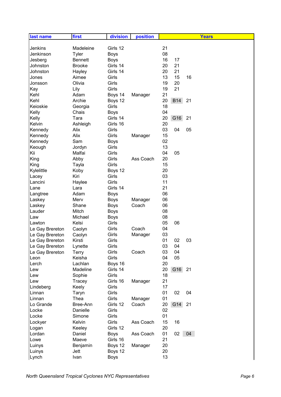| first<br>division<br>position<br><b>Years</b><br>last name     |  |
|----------------------------------------------------------------|--|
|                                                                |  |
| 21<br>Jenkins<br>Madeleine<br>Girls 12                         |  |
| 08<br>Jenkinson<br>Tyler<br><b>Boys</b>                        |  |
| 16<br><b>Boys</b><br>17<br>Jesberg<br><b>Bennett</b>           |  |
| Girls 14<br>20<br>21<br>Johnston<br><b>Brooke</b>              |  |
| 21<br>20<br>Girls 14<br>Johnston<br>Hayley                     |  |
| 15<br>Girls<br>13<br>16<br>Aimee<br>Jones                      |  |
| Olivia<br>Girls<br>19<br>20<br>Jonsson                         |  |
| Girls<br>19<br>21<br>Kay<br>Lily                               |  |
| Kehl<br>21<br>Adam<br>Boys 14<br>Manager                       |  |
| 20<br>Kehl<br><b>B14</b><br>Archie<br>Boys 12<br>21            |  |
| Keioskie<br>Girls<br>18<br>Georgia                             |  |
| Kelly<br>Chais<br>04<br><b>Boys</b>                            |  |
| Girls 14<br>20<br>G16<br>21<br>Kelly<br>Tara                   |  |
| Kelvin<br>Girls 16<br>20<br>Ashleigh                           |  |
| 03<br>04<br>Girls<br>05<br>Alix<br>Kennedy                     |  |
| Girls<br>15<br>Alix<br>Kennedy<br>Manager                      |  |
| 02<br>Kennedy<br>Sam<br><b>Boys</b>                            |  |
| 13<br>Girls<br>Keough<br>Jordyn                                |  |
| 04<br>Girls<br>05<br>Kii<br>Malfai                             |  |
| 20<br>Girls<br>Ass Coach<br>King<br>Abby                       |  |
| Girls<br>15<br>King<br>Tayla                                   |  |
| 20<br>Kylelittle<br>Boys 12<br>Koby                            |  |
| 03<br>Kiri<br>Girls<br>Lacey                                   |  |
| Girls<br>11<br>Lancini<br>Haylee                               |  |
| Girls 14<br>21<br>Lara<br>Lane<br>06<br>Adam                   |  |
| Langtree<br><b>Boys</b>                                        |  |
| 06<br>Merv<br>Laskey<br><b>Boys</b><br>Manager                 |  |
| Coach<br>06<br>Laskey<br>Shane<br><b>Boys</b><br>Mitch<br>08   |  |
| Lauder<br><b>Boys</b><br>08<br>Michael<br>Law                  |  |
| <b>Boys</b><br>05<br>Lawton<br>Kelsi<br>Girls<br>06            |  |
| Girls<br>04<br>Le Gay Brereton<br>Coach<br>Caolyn              |  |
| 03<br>Le Gay Brereton<br>Caolyn<br>Girls<br>Manager            |  |
| 01<br>02<br>03<br>Kirsti<br>Girls<br>Le Gay Brereton           |  |
| Le Gay Brereton<br>Lynette<br>Girls<br>03<br>04                |  |
| Girls<br>03<br>04<br>Le Gay Brereton<br>Terry<br>Coach         |  |
| Keisha<br>Girls<br>04<br>05<br>Leon                            |  |
| 20<br>Lachlan<br>Boys 16<br>Lerch                              |  |
| G16<br>Girls 14<br>20<br>Madeline<br>21<br>Lew                 |  |
| Girls<br>18<br>Sophie<br>Lew                                   |  |
| 21<br>Girls 16<br>Lew<br>Tracey<br>Manager                     |  |
| Girls<br>17<br>Keely<br>Lindeberg                              |  |
| Girls<br>01<br>02<br>04<br>Linnan<br>Taryn                     |  |
| Girls<br>01<br>Linnan<br>Thea<br>Manager                       |  |
| Girls 12<br>20<br>G14<br>Lo Grande<br>Bree-Ann<br>Coach<br>21  |  |
| Danielle<br>Girls<br>02<br>Locke                               |  |
| Girls<br>01<br>Locke<br>Simone                                 |  |
| Girls<br>15<br>16<br>Lockyer<br>Kelvin<br>Ass Coach            |  |
| 20<br>Keeley<br>Girls 12<br>Logan                              |  |
| 01<br>02<br>04<br>Lordan<br>Daniel<br><b>Boys</b><br>Ass Coach |  |
| 21<br>Maeve<br>Girls 16<br>Lowe                                |  |
| 20<br>Luinys<br>Benjamin<br>Boys 12<br>Manager                 |  |
| Boys 12<br>20<br>Luinys<br>Jett                                |  |
| 13<br>Lynch<br>Ivan<br><b>Boys</b>                             |  |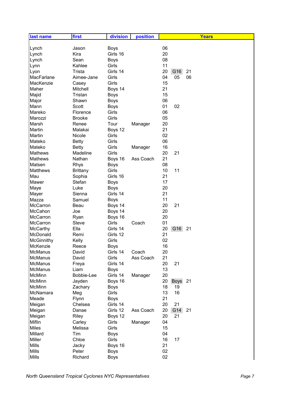| last name         | first           | division    | position  | <b>Years</b>            |
|-------------------|-----------------|-------------|-----------|-------------------------|
|                   |                 |             |           |                         |
| Lynch             | Jason           | <b>Boys</b> |           | 06                      |
| Lynch             | Kira            | Girls 16    |           | 20                      |
| Lynch             | Sean            | <b>Boys</b> |           | 08                      |
| Lynn              | Kahlee          | Girls       |           | 11                      |
| Lyon              | Trista          | Girls 14    |           | 20<br>G16<br>21         |
| MacFarlane        | Aimee-Jane      | Girls       |           | 04<br>05<br>06          |
| MacKenzie         | Casey           | Girls       |           | 15                      |
| Maher             | Mitchell        | Boys 14     |           | 21                      |
| Majid             | Tristan         | <b>Boys</b> |           | 15                      |
| Major             | Shawn           | <b>Boys</b> |           | 06                      |
| Mann              | Scott           | <b>Boys</b> |           | 01<br>02                |
| Mareko            | Florence        | Girls       |           | 06                      |
| Marozzi           | <b>Brooke</b>   | Girls       |           | 05                      |
| Marsh             | Renee           | Tour        | Manager   | 20                      |
| Martin            | Malakai         | Boys 12     |           | 21                      |
| Martin            | Nicole          | Girls       |           | 02                      |
| Mateko            | <b>Betty</b>    | Girls       |           | 06                      |
| Mateko            | <b>Betty</b>    | Girls       | Manager   | 16                      |
| <b>Mathews</b>    | Madeline        | Girls       |           | 20<br>21                |
| <b>Mathews</b>    | Nathan          | Boys 16     | Ass Coach | 21                      |
| Matsen            | <b>Rhys</b>     | <b>Boys</b> |           | 08                      |
| <b>Matthews</b>   | <b>Brittany</b> | Girls       |           | 10<br>11                |
| Mau               | Sophia          | Girls 16    |           | 21                      |
| Mawer             | Stefan          | <b>Boys</b> |           | 17                      |
| Maye              | Luke            | <b>Boys</b> |           | 20                      |
| Mayer             | Sienna          | Girls 14    |           | 21                      |
| Mazza             | Samuel          | <b>Boys</b> |           | 11                      |
| McCarron          | Beau            | Boys 14     |           | 20<br>21                |
| McCahon           | Joe             | Boys 14     |           | 20                      |
| McCarron          | Ryan            | Boys 16     |           | 20                      |
| McCarron          | <b>Steve</b>    | Girls       | Coach     | 01                      |
| McCarthy          | Ella            | Girls 14    |           | G16<br>20<br>21         |
| McDonald          | Remi            | Girls 12    |           | 21                      |
| <b>McGinnithy</b> | Kelly           | Girls       |           | 02                      |
| McKenzie          | Reece           | <b>Boys</b> |           | 16                      |
| <b>McManus</b>    | David           | Girls 14    | Coach     | 20                      |
| <b>McManus</b>    | David           | Girls       | Ass Coach | 21                      |
| McManus           | Freya           | Girls 14    |           | 20<br>21                |
| <b>McManus</b>    | Liam            | <b>Boys</b> |           | 13                      |
| McMinn            | Bobbie-Lee      | Girls 14    | Manager   | 20                      |
| McMinn            | Jayden          | Boys 16     |           | 20<br><b>Boys</b><br>21 |
| <b>McMinn</b>     | Zachary         | <b>Boys</b> |           | 18<br>19                |
| McNamara          | Meg             | Girls       |           | 13<br>16                |
| Meade             | Flynn           | <b>Boys</b> |           | 21                      |
| Meigan            | Chelsea         | Girls 14    |           | 20<br>21                |
| Meigan            | Danae           | Girls 12    | Ass Coach | G14<br>20<br>21         |
| Meigan            | Riley           | Boys 12     |           | 20<br>21                |
| Miflin            | Carley          | Girls       | Manager   | 04                      |
| Miles             | Melissa         | Girls       |           | 15                      |
| Millard           | Tim             | <b>Boys</b> |           | 04                      |
| Miller            | Chloe           | Girls       |           | 16<br>17                |
| <b>Mills</b>      | Jacky           | Boys 16     |           | 21                      |
| <b>Mills</b>      | Peter           | <b>Boys</b> |           | 02                      |
| <b>Mills</b>      | Richard         | <b>Boys</b> |           | 02                      |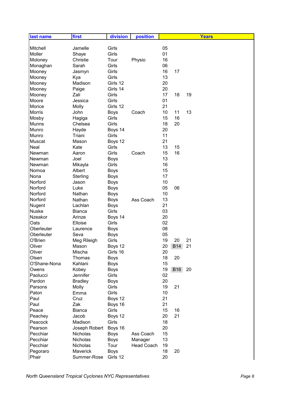| 05<br>Mitchell<br>Jamelle<br>Girls<br>01<br>Moller<br>Girls<br>Shaye<br>16<br>Tour<br>Moloney<br>Christie<br>Physio<br>Girls<br>06<br>Monaghan<br>Sarah<br>16<br>Girls<br>17<br>Mooney<br>Jasmyn<br>13<br>Girls<br>Mooney<br>Kya<br>Madison<br>Girls 12<br>20<br>Mooney<br>Girls 14<br>20<br>Mooney<br>Paige<br>17<br>Zali<br>Girls<br>18<br>19<br>Mooney<br>01<br>Girls<br>Moore<br>Jessica<br>21<br>Molly<br>Girls 12<br>Morice<br><b>Morris</b><br>10<br>11<br>13<br><b>Boys</b><br>Coach<br>John<br>Girls<br>15<br>16<br>Mosby<br>Hagiga<br>Girls<br><b>Munns</b><br>18<br>20<br>Chelsea<br>20<br>Munro<br>Boys 14<br>Hayde<br>11<br>Girls<br>Triani<br>Munro<br>21<br>Muscat<br>Mason<br>Boys 12<br>13<br>Neal<br>Kate<br>Girls<br>15<br>15<br>16<br>Girls<br>Coach<br>Newman<br>Aaron<br>13<br>Newman<br>Joel<br><b>Boys</b><br>16<br>Girls<br>Newman<br>Mikayla<br>Albert<br>15<br>Nomoa<br><b>Boys</b><br>17<br>Nona<br>Sterling<br><b>Boys</b><br>10<br>Norford<br>Jason<br><b>Boys</b><br>05<br>Norford<br>06<br>Luke<br><b>Boys</b><br>10<br>Norford<br>Nathan<br><b>Boys</b><br>13<br>Norford<br>Nathan<br>Ass Coach<br><b>Boys</b><br>21<br>Nugent<br>Lachlan<br><b>Boys</b><br>Nuske<br>Girls<br>03<br><b>Bianca</b><br>Arinze<br>20<br>Nzeakor<br>Boys 14<br>02<br>Oats<br>Elloise<br>Girls<br>08<br>Oberleuter<br><b>Boys</b><br>Laurence<br>05<br>Oberleuter<br>Seva<br><b>Boys</b><br>O'Brien<br>19<br>21<br>Girls<br>20<br>Meg Rileigh<br>Oliver<br>Boys 12<br>20<br><b>B14</b><br>21<br>Mason<br>Oliver<br>Girls 16<br>20<br>Mischa<br>18<br>20<br>Olsen<br>Thomas<br><b>Boys</b><br>O'Shane-Nona<br>15<br>Kahlani<br><b>Boys</b><br>19<br><b>B16</b><br>20<br>Kobey<br><b>Boys</b><br>Owens<br>02<br>Girls<br>Paolucci<br>Jennifer<br>20<br>Pardon<br><b>Bradley</b><br><b>Boys</b><br>19<br>21<br>Molly<br>Girls<br>Parsons<br>10<br>Girls<br>Paton<br>Emma<br>21<br>Paul<br>Cruz<br>Boys 12<br>21<br>Paul<br>Zak<br>Boys 16<br>Girls<br>15<br>Peace<br><b>Bianca</b><br>16<br>Boys 12<br>20<br>21<br>Peachey<br>Jacob<br>Girls<br>18<br>Peacock<br>Madison<br>20<br>Pearson<br>Joseph Robert<br>Boys 16<br>15<br>Pecchiar<br><b>Boys</b><br>Nicholas<br>Ass Coach<br>13<br>Pecchiar<br>Nicholas<br><b>Boys</b><br>Manager<br>Tour<br>Pecchiar<br>Nicholas<br><b>Head Coach</b><br>19<br><b>Boys</b><br>18<br>Pegoraro<br>Maverick<br>20 | last name | first       | division | position |    |  | <b>Years</b> |
|----------------------------------------------------------------------------------------------------------------------------------------------------------------------------------------------------------------------------------------------------------------------------------------------------------------------------------------------------------------------------------------------------------------------------------------------------------------------------------------------------------------------------------------------------------------------------------------------------------------------------------------------------------------------------------------------------------------------------------------------------------------------------------------------------------------------------------------------------------------------------------------------------------------------------------------------------------------------------------------------------------------------------------------------------------------------------------------------------------------------------------------------------------------------------------------------------------------------------------------------------------------------------------------------------------------------------------------------------------------------------------------------------------------------------------------------------------------------------------------------------------------------------------------------------------------------------------------------------------------------------------------------------------------------------------------------------------------------------------------------------------------------------------------------------------------------------------------------------------------------------------------------------------------------------------------------------------------------------------------------------------------------------------------------------------------------------------------------------------------------------------------------------------------------------------------------------------------------------------------------------------------------------------------------------------------------------------------------------------------|-----------|-------------|----------|----------|----|--|--------------|
|                                                                                                                                                                                                                                                                                                                                                                                                                                                                                                                                                                                                                                                                                                                                                                                                                                                                                                                                                                                                                                                                                                                                                                                                                                                                                                                                                                                                                                                                                                                                                                                                                                                                                                                                                                                                                                                                                                                                                                                                                                                                                                                                                                                                                                                                                                                                                                |           |             |          |          |    |  |              |
|                                                                                                                                                                                                                                                                                                                                                                                                                                                                                                                                                                                                                                                                                                                                                                                                                                                                                                                                                                                                                                                                                                                                                                                                                                                                                                                                                                                                                                                                                                                                                                                                                                                                                                                                                                                                                                                                                                                                                                                                                                                                                                                                                                                                                                                                                                                                                                |           |             |          |          |    |  |              |
|                                                                                                                                                                                                                                                                                                                                                                                                                                                                                                                                                                                                                                                                                                                                                                                                                                                                                                                                                                                                                                                                                                                                                                                                                                                                                                                                                                                                                                                                                                                                                                                                                                                                                                                                                                                                                                                                                                                                                                                                                                                                                                                                                                                                                                                                                                                                                                |           |             |          |          |    |  |              |
|                                                                                                                                                                                                                                                                                                                                                                                                                                                                                                                                                                                                                                                                                                                                                                                                                                                                                                                                                                                                                                                                                                                                                                                                                                                                                                                                                                                                                                                                                                                                                                                                                                                                                                                                                                                                                                                                                                                                                                                                                                                                                                                                                                                                                                                                                                                                                                |           |             |          |          |    |  |              |
|                                                                                                                                                                                                                                                                                                                                                                                                                                                                                                                                                                                                                                                                                                                                                                                                                                                                                                                                                                                                                                                                                                                                                                                                                                                                                                                                                                                                                                                                                                                                                                                                                                                                                                                                                                                                                                                                                                                                                                                                                                                                                                                                                                                                                                                                                                                                                                |           |             |          |          |    |  |              |
|                                                                                                                                                                                                                                                                                                                                                                                                                                                                                                                                                                                                                                                                                                                                                                                                                                                                                                                                                                                                                                                                                                                                                                                                                                                                                                                                                                                                                                                                                                                                                                                                                                                                                                                                                                                                                                                                                                                                                                                                                                                                                                                                                                                                                                                                                                                                                                |           |             |          |          |    |  |              |
|                                                                                                                                                                                                                                                                                                                                                                                                                                                                                                                                                                                                                                                                                                                                                                                                                                                                                                                                                                                                                                                                                                                                                                                                                                                                                                                                                                                                                                                                                                                                                                                                                                                                                                                                                                                                                                                                                                                                                                                                                                                                                                                                                                                                                                                                                                                                                                |           |             |          |          |    |  |              |
|                                                                                                                                                                                                                                                                                                                                                                                                                                                                                                                                                                                                                                                                                                                                                                                                                                                                                                                                                                                                                                                                                                                                                                                                                                                                                                                                                                                                                                                                                                                                                                                                                                                                                                                                                                                                                                                                                                                                                                                                                                                                                                                                                                                                                                                                                                                                                                |           |             |          |          |    |  |              |
|                                                                                                                                                                                                                                                                                                                                                                                                                                                                                                                                                                                                                                                                                                                                                                                                                                                                                                                                                                                                                                                                                                                                                                                                                                                                                                                                                                                                                                                                                                                                                                                                                                                                                                                                                                                                                                                                                                                                                                                                                                                                                                                                                                                                                                                                                                                                                                |           |             |          |          |    |  |              |
|                                                                                                                                                                                                                                                                                                                                                                                                                                                                                                                                                                                                                                                                                                                                                                                                                                                                                                                                                                                                                                                                                                                                                                                                                                                                                                                                                                                                                                                                                                                                                                                                                                                                                                                                                                                                                                                                                                                                                                                                                                                                                                                                                                                                                                                                                                                                                                |           |             |          |          |    |  |              |
|                                                                                                                                                                                                                                                                                                                                                                                                                                                                                                                                                                                                                                                                                                                                                                                                                                                                                                                                                                                                                                                                                                                                                                                                                                                                                                                                                                                                                                                                                                                                                                                                                                                                                                                                                                                                                                                                                                                                                                                                                                                                                                                                                                                                                                                                                                                                                                |           |             |          |          |    |  |              |
|                                                                                                                                                                                                                                                                                                                                                                                                                                                                                                                                                                                                                                                                                                                                                                                                                                                                                                                                                                                                                                                                                                                                                                                                                                                                                                                                                                                                                                                                                                                                                                                                                                                                                                                                                                                                                                                                                                                                                                                                                                                                                                                                                                                                                                                                                                                                                                |           |             |          |          |    |  |              |
|                                                                                                                                                                                                                                                                                                                                                                                                                                                                                                                                                                                                                                                                                                                                                                                                                                                                                                                                                                                                                                                                                                                                                                                                                                                                                                                                                                                                                                                                                                                                                                                                                                                                                                                                                                                                                                                                                                                                                                                                                                                                                                                                                                                                                                                                                                                                                                |           |             |          |          |    |  |              |
|                                                                                                                                                                                                                                                                                                                                                                                                                                                                                                                                                                                                                                                                                                                                                                                                                                                                                                                                                                                                                                                                                                                                                                                                                                                                                                                                                                                                                                                                                                                                                                                                                                                                                                                                                                                                                                                                                                                                                                                                                                                                                                                                                                                                                                                                                                                                                                |           |             |          |          |    |  |              |
|                                                                                                                                                                                                                                                                                                                                                                                                                                                                                                                                                                                                                                                                                                                                                                                                                                                                                                                                                                                                                                                                                                                                                                                                                                                                                                                                                                                                                                                                                                                                                                                                                                                                                                                                                                                                                                                                                                                                                                                                                                                                                                                                                                                                                                                                                                                                                                |           |             |          |          |    |  |              |
|                                                                                                                                                                                                                                                                                                                                                                                                                                                                                                                                                                                                                                                                                                                                                                                                                                                                                                                                                                                                                                                                                                                                                                                                                                                                                                                                                                                                                                                                                                                                                                                                                                                                                                                                                                                                                                                                                                                                                                                                                                                                                                                                                                                                                                                                                                                                                                |           |             |          |          |    |  |              |
|                                                                                                                                                                                                                                                                                                                                                                                                                                                                                                                                                                                                                                                                                                                                                                                                                                                                                                                                                                                                                                                                                                                                                                                                                                                                                                                                                                                                                                                                                                                                                                                                                                                                                                                                                                                                                                                                                                                                                                                                                                                                                                                                                                                                                                                                                                                                                                |           |             |          |          |    |  |              |
|                                                                                                                                                                                                                                                                                                                                                                                                                                                                                                                                                                                                                                                                                                                                                                                                                                                                                                                                                                                                                                                                                                                                                                                                                                                                                                                                                                                                                                                                                                                                                                                                                                                                                                                                                                                                                                                                                                                                                                                                                                                                                                                                                                                                                                                                                                                                                                |           |             |          |          |    |  |              |
|                                                                                                                                                                                                                                                                                                                                                                                                                                                                                                                                                                                                                                                                                                                                                                                                                                                                                                                                                                                                                                                                                                                                                                                                                                                                                                                                                                                                                                                                                                                                                                                                                                                                                                                                                                                                                                                                                                                                                                                                                                                                                                                                                                                                                                                                                                                                                                |           |             |          |          |    |  |              |
|                                                                                                                                                                                                                                                                                                                                                                                                                                                                                                                                                                                                                                                                                                                                                                                                                                                                                                                                                                                                                                                                                                                                                                                                                                                                                                                                                                                                                                                                                                                                                                                                                                                                                                                                                                                                                                                                                                                                                                                                                                                                                                                                                                                                                                                                                                                                                                |           |             |          |          |    |  |              |
|                                                                                                                                                                                                                                                                                                                                                                                                                                                                                                                                                                                                                                                                                                                                                                                                                                                                                                                                                                                                                                                                                                                                                                                                                                                                                                                                                                                                                                                                                                                                                                                                                                                                                                                                                                                                                                                                                                                                                                                                                                                                                                                                                                                                                                                                                                                                                                |           |             |          |          |    |  |              |
|                                                                                                                                                                                                                                                                                                                                                                                                                                                                                                                                                                                                                                                                                                                                                                                                                                                                                                                                                                                                                                                                                                                                                                                                                                                                                                                                                                                                                                                                                                                                                                                                                                                                                                                                                                                                                                                                                                                                                                                                                                                                                                                                                                                                                                                                                                                                                                |           |             |          |          |    |  |              |
|                                                                                                                                                                                                                                                                                                                                                                                                                                                                                                                                                                                                                                                                                                                                                                                                                                                                                                                                                                                                                                                                                                                                                                                                                                                                                                                                                                                                                                                                                                                                                                                                                                                                                                                                                                                                                                                                                                                                                                                                                                                                                                                                                                                                                                                                                                                                                                |           |             |          |          |    |  |              |
|                                                                                                                                                                                                                                                                                                                                                                                                                                                                                                                                                                                                                                                                                                                                                                                                                                                                                                                                                                                                                                                                                                                                                                                                                                                                                                                                                                                                                                                                                                                                                                                                                                                                                                                                                                                                                                                                                                                                                                                                                                                                                                                                                                                                                                                                                                                                                                |           |             |          |          |    |  |              |
|                                                                                                                                                                                                                                                                                                                                                                                                                                                                                                                                                                                                                                                                                                                                                                                                                                                                                                                                                                                                                                                                                                                                                                                                                                                                                                                                                                                                                                                                                                                                                                                                                                                                                                                                                                                                                                                                                                                                                                                                                                                                                                                                                                                                                                                                                                                                                                |           |             |          |          |    |  |              |
|                                                                                                                                                                                                                                                                                                                                                                                                                                                                                                                                                                                                                                                                                                                                                                                                                                                                                                                                                                                                                                                                                                                                                                                                                                                                                                                                                                                                                                                                                                                                                                                                                                                                                                                                                                                                                                                                                                                                                                                                                                                                                                                                                                                                                                                                                                                                                                |           |             |          |          |    |  |              |
|                                                                                                                                                                                                                                                                                                                                                                                                                                                                                                                                                                                                                                                                                                                                                                                                                                                                                                                                                                                                                                                                                                                                                                                                                                                                                                                                                                                                                                                                                                                                                                                                                                                                                                                                                                                                                                                                                                                                                                                                                                                                                                                                                                                                                                                                                                                                                                |           |             |          |          |    |  |              |
|                                                                                                                                                                                                                                                                                                                                                                                                                                                                                                                                                                                                                                                                                                                                                                                                                                                                                                                                                                                                                                                                                                                                                                                                                                                                                                                                                                                                                                                                                                                                                                                                                                                                                                                                                                                                                                                                                                                                                                                                                                                                                                                                                                                                                                                                                                                                                                |           |             |          |          |    |  |              |
|                                                                                                                                                                                                                                                                                                                                                                                                                                                                                                                                                                                                                                                                                                                                                                                                                                                                                                                                                                                                                                                                                                                                                                                                                                                                                                                                                                                                                                                                                                                                                                                                                                                                                                                                                                                                                                                                                                                                                                                                                                                                                                                                                                                                                                                                                                                                                                |           |             |          |          |    |  |              |
|                                                                                                                                                                                                                                                                                                                                                                                                                                                                                                                                                                                                                                                                                                                                                                                                                                                                                                                                                                                                                                                                                                                                                                                                                                                                                                                                                                                                                                                                                                                                                                                                                                                                                                                                                                                                                                                                                                                                                                                                                                                                                                                                                                                                                                                                                                                                                                |           |             |          |          |    |  |              |
|                                                                                                                                                                                                                                                                                                                                                                                                                                                                                                                                                                                                                                                                                                                                                                                                                                                                                                                                                                                                                                                                                                                                                                                                                                                                                                                                                                                                                                                                                                                                                                                                                                                                                                                                                                                                                                                                                                                                                                                                                                                                                                                                                                                                                                                                                                                                                                |           |             |          |          |    |  |              |
|                                                                                                                                                                                                                                                                                                                                                                                                                                                                                                                                                                                                                                                                                                                                                                                                                                                                                                                                                                                                                                                                                                                                                                                                                                                                                                                                                                                                                                                                                                                                                                                                                                                                                                                                                                                                                                                                                                                                                                                                                                                                                                                                                                                                                                                                                                                                                                |           |             |          |          |    |  |              |
|                                                                                                                                                                                                                                                                                                                                                                                                                                                                                                                                                                                                                                                                                                                                                                                                                                                                                                                                                                                                                                                                                                                                                                                                                                                                                                                                                                                                                                                                                                                                                                                                                                                                                                                                                                                                                                                                                                                                                                                                                                                                                                                                                                                                                                                                                                                                                                |           |             |          |          |    |  |              |
|                                                                                                                                                                                                                                                                                                                                                                                                                                                                                                                                                                                                                                                                                                                                                                                                                                                                                                                                                                                                                                                                                                                                                                                                                                                                                                                                                                                                                                                                                                                                                                                                                                                                                                                                                                                                                                                                                                                                                                                                                                                                                                                                                                                                                                                                                                                                                                |           |             |          |          |    |  |              |
|                                                                                                                                                                                                                                                                                                                                                                                                                                                                                                                                                                                                                                                                                                                                                                                                                                                                                                                                                                                                                                                                                                                                                                                                                                                                                                                                                                                                                                                                                                                                                                                                                                                                                                                                                                                                                                                                                                                                                                                                                                                                                                                                                                                                                                                                                                                                                                |           |             |          |          |    |  |              |
|                                                                                                                                                                                                                                                                                                                                                                                                                                                                                                                                                                                                                                                                                                                                                                                                                                                                                                                                                                                                                                                                                                                                                                                                                                                                                                                                                                                                                                                                                                                                                                                                                                                                                                                                                                                                                                                                                                                                                                                                                                                                                                                                                                                                                                                                                                                                                                |           |             |          |          |    |  |              |
|                                                                                                                                                                                                                                                                                                                                                                                                                                                                                                                                                                                                                                                                                                                                                                                                                                                                                                                                                                                                                                                                                                                                                                                                                                                                                                                                                                                                                                                                                                                                                                                                                                                                                                                                                                                                                                                                                                                                                                                                                                                                                                                                                                                                                                                                                                                                                                |           |             |          |          |    |  |              |
|                                                                                                                                                                                                                                                                                                                                                                                                                                                                                                                                                                                                                                                                                                                                                                                                                                                                                                                                                                                                                                                                                                                                                                                                                                                                                                                                                                                                                                                                                                                                                                                                                                                                                                                                                                                                                                                                                                                                                                                                                                                                                                                                                                                                                                                                                                                                                                |           |             |          |          |    |  |              |
|                                                                                                                                                                                                                                                                                                                                                                                                                                                                                                                                                                                                                                                                                                                                                                                                                                                                                                                                                                                                                                                                                                                                                                                                                                                                                                                                                                                                                                                                                                                                                                                                                                                                                                                                                                                                                                                                                                                                                                                                                                                                                                                                                                                                                                                                                                                                                                |           |             |          |          |    |  |              |
|                                                                                                                                                                                                                                                                                                                                                                                                                                                                                                                                                                                                                                                                                                                                                                                                                                                                                                                                                                                                                                                                                                                                                                                                                                                                                                                                                                                                                                                                                                                                                                                                                                                                                                                                                                                                                                                                                                                                                                                                                                                                                                                                                                                                                                                                                                                                                                |           |             |          |          |    |  |              |
|                                                                                                                                                                                                                                                                                                                                                                                                                                                                                                                                                                                                                                                                                                                                                                                                                                                                                                                                                                                                                                                                                                                                                                                                                                                                                                                                                                                                                                                                                                                                                                                                                                                                                                                                                                                                                                                                                                                                                                                                                                                                                                                                                                                                                                                                                                                                                                |           |             |          |          |    |  |              |
|                                                                                                                                                                                                                                                                                                                                                                                                                                                                                                                                                                                                                                                                                                                                                                                                                                                                                                                                                                                                                                                                                                                                                                                                                                                                                                                                                                                                                                                                                                                                                                                                                                                                                                                                                                                                                                                                                                                                                                                                                                                                                                                                                                                                                                                                                                                                                                |           |             |          |          |    |  |              |
|                                                                                                                                                                                                                                                                                                                                                                                                                                                                                                                                                                                                                                                                                                                                                                                                                                                                                                                                                                                                                                                                                                                                                                                                                                                                                                                                                                                                                                                                                                                                                                                                                                                                                                                                                                                                                                                                                                                                                                                                                                                                                                                                                                                                                                                                                                                                                                |           |             |          |          |    |  |              |
|                                                                                                                                                                                                                                                                                                                                                                                                                                                                                                                                                                                                                                                                                                                                                                                                                                                                                                                                                                                                                                                                                                                                                                                                                                                                                                                                                                                                                                                                                                                                                                                                                                                                                                                                                                                                                                                                                                                                                                                                                                                                                                                                                                                                                                                                                                                                                                |           |             |          |          |    |  |              |
|                                                                                                                                                                                                                                                                                                                                                                                                                                                                                                                                                                                                                                                                                                                                                                                                                                                                                                                                                                                                                                                                                                                                                                                                                                                                                                                                                                                                                                                                                                                                                                                                                                                                                                                                                                                                                                                                                                                                                                                                                                                                                                                                                                                                                                                                                                                                                                |           |             |          |          |    |  |              |
|                                                                                                                                                                                                                                                                                                                                                                                                                                                                                                                                                                                                                                                                                                                                                                                                                                                                                                                                                                                                                                                                                                                                                                                                                                                                                                                                                                                                                                                                                                                                                                                                                                                                                                                                                                                                                                                                                                                                                                                                                                                                                                                                                                                                                                                                                                                                                                |           |             |          |          |    |  |              |
|                                                                                                                                                                                                                                                                                                                                                                                                                                                                                                                                                                                                                                                                                                                                                                                                                                                                                                                                                                                                                                                                                                                                                                                                                                                                                                                                                                                                                                                                                                                                                                                                                                                                                                                                                                                                                                                                                                                                                                                                                                                                                                                                                                                                                                                                                                                                                                |           |             |          |          |    |  |              |
|                                                                                                                                                                                                                                                                                                                                                                                                                                                                                                                                                                                                                                                                                                                                                                                                                                                                                                                                                                                                                                                                                                                                                                                                                                                                                                                                                                                                                                                                                                                                                                                                                                                                                                                                                                                                                                                                                                                                                                                                                                                                                                                                                                                                                                                                                                                                                                |           |             |          |          |    |  |              |
|                                                                                                                                                                                                                                                                                                                                                                                                                                                                                                                                                                                                                                                                                                                                                                                                                                                                                                                                                                                                                                                                                                                                                                                                                                                                                                                                                                                                                                                                                                                                                                                                                                                                                                                                                                                                                                                                                                                                                                                                                                                                                                                                                                                                                                                                                                                                                                |           |             |          |          |    |  |              |
|                                                                                                                                                                                                                                                                                                                                                                                                                                                                                                                                                                                                                                                                                                                                                                                                                                                                                                                                                                                                                                                                                                                                                                                                                                                                                                                                                                                                                                                                                                                                                                                                                                                                                                                                                                                                                                                                                                                                                                                                                                                                                                                                                                                                                                                                                                                                                                |           |             |          |          |    |  |              |
|                                                                                                                                                                                                                                                                                                                                                                                                                                                                                                                                                                                                                                                                                                                                                                                                                                                                                                                                                                                                                                                                                                                                                                                                                                                                                                                                                                                                                                                                                                                                                                                                                                                                                                                                                                                                                                                                                                                                                                                                                                                                                                                                                                                                                                                                                                                                                                |           |             |          |          |    |  |              |
|                                                                                                                                                                                                                                                                                                                                                                                                                                                                                                                                                                                                                                                                                                                                                                                                                                                                                                                                                                                                                                                                                                                                                                                                                                                                                                                                                                                                                                                                                                                                                                                                                                                                                                                                                                                                                                                                                                                                                                                                                                                                                                                                                                                                                                                                                                                                                                |           |             |          |          |    |  |              |
|                                                                                                                                                                                                                                                                                                                                                                                                                                                                                                                                                                                                                                                                                                                                                                                                                                                                                                                                                                                                                                                                                                                                                                                                                                                                                                                                                                                                                                                                                                                                                                                                                                                                                                                                                                                                                                                                                                                                                                                                                                                                                                                                                                                                                                                                                                                                                                |           |             |          |          |    |  |              |
|                                                                                                                                                                                                                                                                                                                                                                                                                                                                                                                                                                                                                                                                                                                                                                                                                                                                                                                                                                                                                                                                                                                                                                                                                                                                                                                                                                                                                                                                                                                                                                                                                                                                                                                                                                                                                                                                                                                                                                                                                                                                                                                                                                                                                                                                                                                                                                |           |             |          |          |    |  |              |
|                                                                                                                                                                                                                                                                                                                                                                                                                                                                                                                                                                                                                                                                                                                                                                                                                                                                                                                                                                                                                                                                                                                                                                                                                                                                                                                                                                                                                                                                                                                                                                                                                                                                                                                                                                                                                                                                                                                                                                                                                                                                                                                                                                                                                                                                                                                                                                | Phair     | Summer-Rose | Girls 12 |          | 20 |  |              |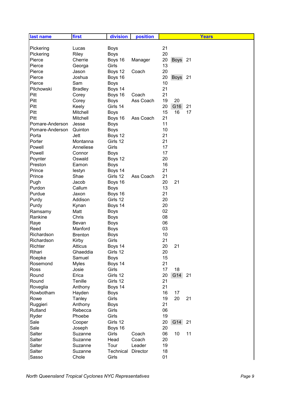| last name       | first          | division    | position  | <b>Years</b>            |
|-----------------|----------------|-------------|-----------|-------------------------|
|                 |                |             |           |                         |
| Pickering       | Lucas          | <b>Boys</b> |           | 21                      |
| Pickering       | Riley          | <b>Boys</b> |           | 20                      |
| Pierce          | Cherrie        | Boys 16     | Manager   | 20<br><b>Boys</b><br>21 |
| Pierce          | Georga         | Girls       |           | 13                      |
| Pierce          | Jason          | Boys 12     | Coach     | 20                      |
| Pierce          | Joshua         | Boys 16     |           | 20<br>21<br><b>Boys</b> |
| Pierce          | Sam            | <b>Boys</b> |           | 10                      |
| Pilchowski      | <b>Bradley</b> | Boys 14     |           | 21                      |
| Pitt            | Corey          | Boys 16     | Coach     | 21                      |
| Pitt            | Corey          | <b>Boys</b> | Ass Coach | 19<br>20                |
| Pitt            | Keely          | Girls 14    |           | 20<br>G16<br>21         |
| Pitt            | Mitchell       | <b>Boys</b> |           | 15<br>16<br>17          |
| Pitt            | Mitchell       | Boys 16     | Ass Coach | 21                      |
| Pomare-Anderson | Jesse          | <b>Boys</b> |           | 11                      |
| Pomare-Anderson | Quinton        | <b>Boys</b> |           | 10                      |
| Porta           | Jett           | Boys 12     |           | 21                      |
| Porter          | Montanna       | Girls 12    |           | 21                      |
| Powell          | Anneliese      | Girls       |           | 17                      |
| Powell          | Connor         | <b>Boys</b> |           | 17                      |
| Poynter         | Oswald         | Boys 12     |           | 20                      |
| Preston         | Eamon          | <b>Boys</b> |           | 16                      |
| Prince          | lestyn         | Boys 14     |           | 21                      |
| Prince          | Shae           | Girls 12    | Ass Coach | 21                      |
| Pugh            | Jacob          | Boys 16     |           | 20<br>21                |
| Purdon          | Callum         | <b>Boys</b> |           | 13                      |
| Purdue          | Jaxon          | Boys 16     |           | 21                      |
| Purdy           | Addison        | Girls 12    |           | 20                      |
| Purdy           | Kynan          | Boys 14     |           | 20                      |
| Ramsamy         | Matt           | <b>Boys</b> |           | 02                      |
| Rankine         | Chris          | <b>Boys</b> |           | 08                      |
| Raye            | Bevan          | <b>Boys</b> |           | 06                      |
| Reed            | Manford        | <b>Boys</b> |           | 03                      |
| Richardson      | <b>Brenton</b> | <b>Boys</b> |           | 10                      |
| Richardson      | Kirby          | Girls       |           | 21                      |
| Richter         | <b>Atticus</b> | Boys 14     |           | 20<br>21                |
| Rihari          | Ghaeddia       | Girls 12    |           | 20                      |
| Roepke          | Samuel         | Boys        |           | 15                      |
| Rosemond        | <b>Myles</b>   | Boys 14     |           | 21                      |
| Ross            | Josie          | Girls       |           | 17<br>18                |
| Round           | Erica          | Girls 12    |           | 20<br>G14<br>21         |
| Round           | Tenille        | Girls 12    |           | 21                      |
| Roveglia        | Anthony        | Boys 14     |           | 21                      |
| Rowbotham       | Hayden         | <b>Boys</b> |           | 16<br>17                |
| Rowe            | Tanley         | Girls       |           | 19<br>20<br>21          |
| Ruggieri        | Anthony        | <b>Boys</b> |           | 21                      |
| Rutland         | Rebecca        | Girls       |           | 06                      |
| Ryder           | Phoebe         | Girls       |           | 19                      |
| Sale            | Cooper         | Girls 12    |           | 20<br>G14<br>21         |
| Sale            | Joseph         | Boys 16     |           | 20                      |
| Salter          | Suzanne        | Girls       | Coach     | 06<br>10<br>11          |
| Salter          | Suzanne        | Head        | Coach     | 20                      |
| Salter          | Suzanne        | Tour        | Leader    | 19                      |
| Salter          | Suzanne        | Technical   | Director  | 18                      |
| Sasso           | Chole          | Girls       |           | 01                      |
|                 |                |             |           |                         |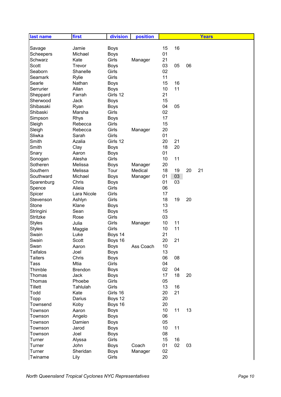| last name       | first          | division    | position  |    |    |    | <b>Years</b> |
|-----------------|----------------|-------------|-----------|----|----|----|--------------|
|                 |                |             |           |    |    |    |              |
| Savage          | Jamie          | <b>Boys</b> |           | 15 | 16 |    |              |
| Scheepers       | Michael        | <b>Boys</b> |           | 01 |    |    |              |
| Schwarz         | Kate           | Girls       | Manager   | 21 |    |    |              |
| Scott           | Trevor         | <b>Boys</b> |           | 03 | 05 | 06 |              |
| Seaborn         | Shanelle       | Girls       |           | 02 |    |    |              |
| Seamark         | Rylie          | Girls       |           | 11 |    |    |              |
| Searle          | Nathan         | <b>Boys</b> |           | 15 | 16 |    |              |
| Serrurier       | Allan          | <b>Boys</b> |           | 10 | 11 |    |              |
| Sheppard        | Farrah         | Girls 12    |           | 21 |    |    |              |
| Sherwood        | Jack           | <b>Boys</b> |           | 15 |    |    |              |
| Shibasaki       | Ryan           | <b>Boys</b> |           | 04 | 05 |    |              |
| Shibaski        | Marsha         | Girls       |           | 02 |    |    |              |
| Simpson         | <b>Rhys</b>    | <b>Boys</b> |           | 17 |    |    |              |
| Sleigh          | Rebecca        | Girls       |           | 15 |    |    |              |
| Sleigh          | Rebecca        | Girls       | Manager   | 20 |    |    |              |
| Sliwka          | Sarah          | Girls       |           | 01 |    |    |              |
| Smith           | Azalia         | Girls 12    |           | 20 | 21 |    |              |
| Smith           | Clay           | <b>Boys</b> |           | 18 | 20 |    |              |
| Snary           | Aaron          | <b>Boys</b> |           | 01 |    |    |              |
| Sonogan         | Alesha         | Girls       |           | 10 | 11 |    |              |
| Sotheren        | Melissa        | <b>Boys</b> | Manager   | 20 |    |    |              |
| Southern        | Melissa        | Tour        | Medical   | 18 | 19 | 20 | 21           |
| Southward       | Michael        | <b>Boys</b> | Manager   | 01 | 03 |    |              |
| Sparenburg      | Chris          | <b>Boys</b> |           | 01 | 03 |    |              |
| Spence          | Alieia         | Girls       |           | 06 |    |    |              |
| Spicer          | Lara Nicole    | Girls       |           | 17 |    |    |              |
| Stevenson       | Ashlyn         | Girls       |           | 18 | 19 | 20 |              |
| Stone           | Klane          | <b>Boys</b> |           | 13 |    |    |              |
| Stringini       | Sean           | <b>Boys</b> |           | 15 |    |    |              |
| Stritzke        | Rose           | Girls       |           | 03 |    |    |              |
| <b>Styles</b>   | Julia          | Girls       | Manager   | 10 | 11 |    |              |
| <b>Styles</b>   | Maggie         | Girls       |           | 10 | 11 |    |              |
| Swain           | Luke           | Boys 14     |           | 21 |    |    |              |
| Swain           | Scott          | Boys 16     |           | 20 | 21 |    |              |
| Swan            | Aaron          | <b>Boys</b> | Ass Coach | 10 |    |    |              |
| <b>Taifalos</b> | Joel           | <b>Boys</b> |           | 13 |    |    |              |
| <b>Taiters</b>  | Chris          | <b>Boys</b> |           | 06 | 08 |    |              |
| <b>Tass</b>     | Mtia           | Girls       |           | 04 |    |    |              |
| Thimble         | <b>Brendon</b> | <b>Boys</b> |           | 02 | 04 |    |              |
| Thomas          | Jack           | <b>Boys</b> |           | 17 | 18 | 20 |              |
| Thomas          | Phoebe         | Girls       |           | 05 |    |    |              |
| Tillett         | Tahlulah       | Girls       |           | 13 | 16 |    |              |
| Todd            | Kate           | Girls 16    |           | 20 | 21 |    |              |
| Topp            | Darius         | Boys 12     |           | 20 |    |    |              |
| Townsend        | Koby           | Boys 16     |           | 20 |    |    |              |
| Townson         | Aaron          | <b>Boys</b> |           | 10 | 11 | 13 |              |
| Townson         | Angelo         | <b>Boys</b> |           | 06 |    |    |              |
| Townson         | Damien         | <b>Boys</b> |           | 05 |    |    |              |
| Townson         | Jarod          | <b>Boys</b> |           | 10 | 11 |    |              |
| Townson         | Joel           | <b>Boys</b> |           | 08 |    |    |              |
| Turner          | Alyssa         | Girls       |           | 15 | 16 |    |              |
| Turner          | John           | <b>Boys</b> | Coach     | 01 | 02 | 03 |              |
| Turner          | Sheridan       | <b>Boys</b> | Manager   | 02 |    |    |              |
| Twiname         | Lily           | Girls       |           | 20 |    |    |              |